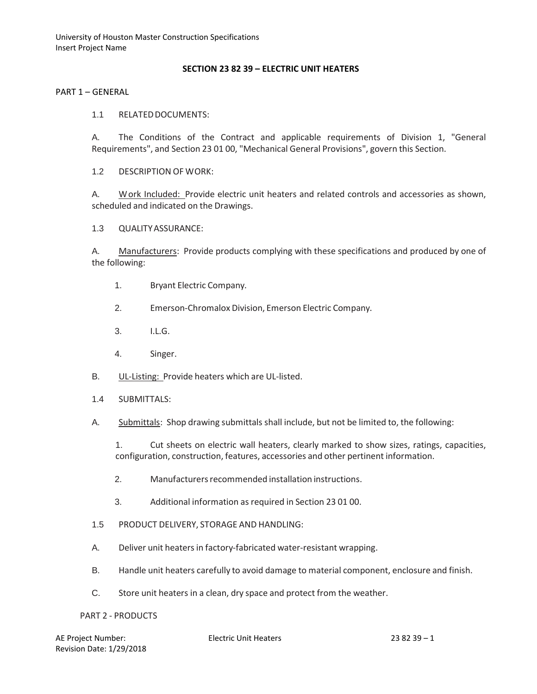University of Houston Master Construction Specifications Insert Project Name

#### **SECTION 23 82 39 – ELECTRIC UNIT HEATERS**

PART 1 – GENERAL

1.1 RELATED DOCUMENTS:

A. The Conditions of the Contract and applicable requirements of Division 1, "General Requirements", and Section 23 01 00, "Mechanical General Provisions", govern this Section.

1.2 DESCRIPTION OF WORK:

A. Work Included: Provide electric unit heaters and related controls and accessories as shown, scheduled and indicated on the Drawings.

1.3 QUALITYASSURANCE:

A. Manufacturers: Provide products complying with these specifications and produced by one of the following:

- 1. Bryant Electric Company.
- 2. Emerson-Chromalox Division, Emerson Electric Company.
- 3. I.L.G.
- 4. Singer.
- B. UL-Listing: Provide heaters which are UL-listed.
- 1.4 SUBMITTALS:
- A. Submittals: Shop drawing submittals shall include, but not be limited to, the following:

1. Cut sheets on electric wall heaters, clearly marked to show sizes, ratings, capacities, configuration, construction, features, accessories and other pertinent information.

- 2. Manufacturersrecommended installation instructions.
- 3. Additional information as required in Section 23 01 00.
- 1.5 PRODUCT DELIVERY, STORAGE AND HANDLING:
- A. Deliver unit heaters in factory-fabricated water-resistant wrapping.
- B. Handle unit heaters carefully to avoid damage to material component, enclosure and finish.
- C. Store unit heaters in a clean, dry space and protect from the weather.

#### PART 2 - PRODUCTS

| AE Project Number:       |
|--------------------------|
| Revision Date: 1/29/2018 |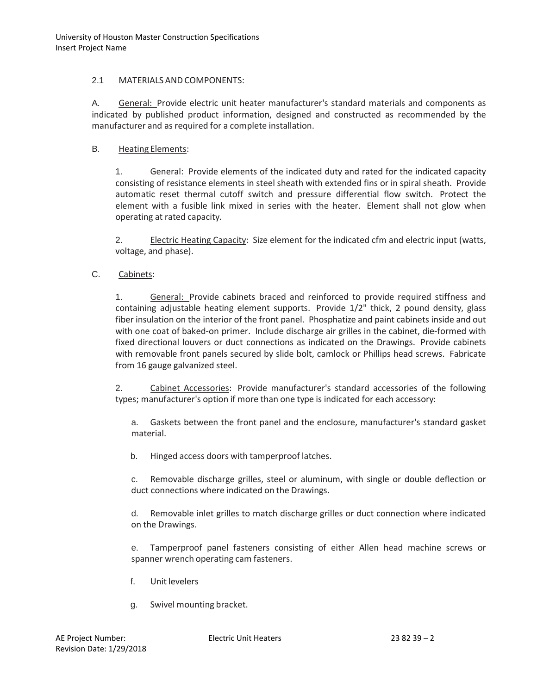### 2.1 MATERIALS AND COMPONENTS:

A. General: Provide electric unit heater manufacturer's standard materials and components as indicated by published product information, designed and constructed as recommended by the manufacturer and as required for a complete installation.

# B. Heating Elements:

1. General: Provide elements of the indicated duty and rated for the indicated capacity consisting of resistance elements in steel sheath with extended fins or in spiral sheath. Provide automatic reset thermal cutoff switch and pressure differential flow switch. Protect the element with a fusible link mixed in series with the heater. Element shall not glow when operating at rated capacity.

2. Electric Heating Capacity: Size element for the indicated cfm and electric input (watts, voltage, and phase).

# C. Cabinets:

1. General: Provide cabinets braced and reinforced to provide required stiffness and containing adjustable heating element supports. Provide 1/2" thick, 2 pound density, glass fiber insulation on the interior of the front panel. Phosphatize and paint cabinets inside and out with one coat of baked-on primer. Include discharge air grilles in the cabinet, die-formed with fixed directional louvers or duct connections as indicated on the Drawings. Provide cabinets with removable front panels secured by slide bolt, camlock or Phillips head screws. Fabricate from 16 gauge galvanized steel.

2. Cabinet Accessories: Provide manufacturer's standard accessories of the following types; manufacturer's option if more than one type is indicated for each accessory:

a. Gaskets between the front panel and the enclosure, manufacturer's standard gasket material.

b. Hinged access doors with tamperproof latches.

c. Removable discharge grilles, steel or aluminum, with single or double deflection or duct connections where indicated on the Drawings.

d. Removable inlet grilles to match discharge grilles or duct connection where indicated on the Drawings.

e. Tamperproof panel fasteners consisting of either Allen head machine screws or spanner wrench operating cam fasteners.

- f. Unitlevelers
- g. Swivel mounting bracket.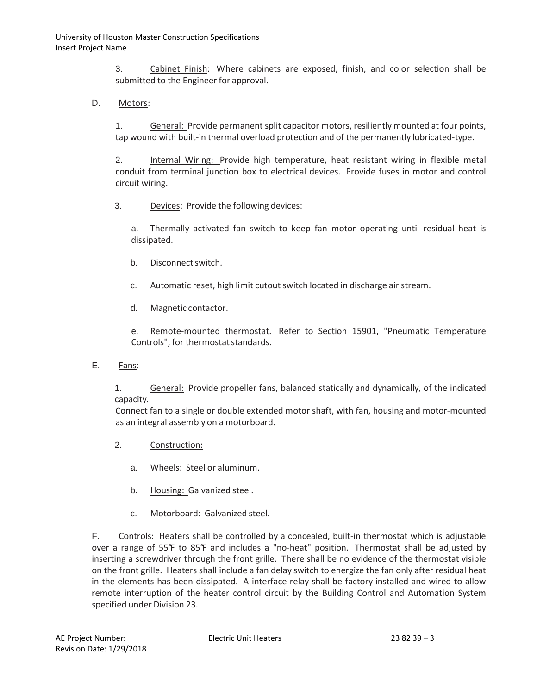3. Cabinet Finish: Where cabinets are exposed, finish, and color selection shall be submitted to the Engineer for approval.

D. Motors:

1. General: Provide permanent split capacitor motors, resiliently mounted at four points, tap wound with built-in thermal overload protection and of the permanently lubricated-type.

2. Internal Wiring: Provide high temperature, heat resistant wiring in flexible metal conduit from terminal junction box to electrical devices. Provide fuses in motor and control circuit wiring.

3. Devices: Provide the following devices:

a. Thermally activated fan switch to keep fan motor operating until residual heat is dissipated.

- b. Disconnectswitch.
- c. Automatic reset, high limit cutout switch located in discharge air stream.
- d. Magnetic contactor.

e. Remote-mounted thermostat. Refer to Section 15901, "Pneumatic Temperature Controls", for thermostat standards.

E. Fans:

1. General: Provide propeller fans, balanced statically and dynamically, of the indicated capacity.

Connect fan to a single or double extended motor shaft, with fan, housing and motor-mounted as an integral assembly on a motorboard.

- 2. Construction:
	- a. Wheels: Steel or aluminum.
	- b. Housing: Galvanized steel.
	- c. Motorboard: Galvanized steel.

F. Controls: Heaters shall be controlled by a concealed, built-in thermostat which is adjustable over a range of 55°F to 85°F and includes a "no-heat" position. Thermostat shall be adjusted by inserting a screwdriver through the front grille. There shall be no evidence of the thermostat visible on the front grille. Heaters shall include a fan delay switch to energize the fan only after residual heat in the elements has been dissipated. A interface relay shall be factory-installed and wired to allow remote interruption of the heater control circuit by the Building Control and Automation System specified under Division 23.